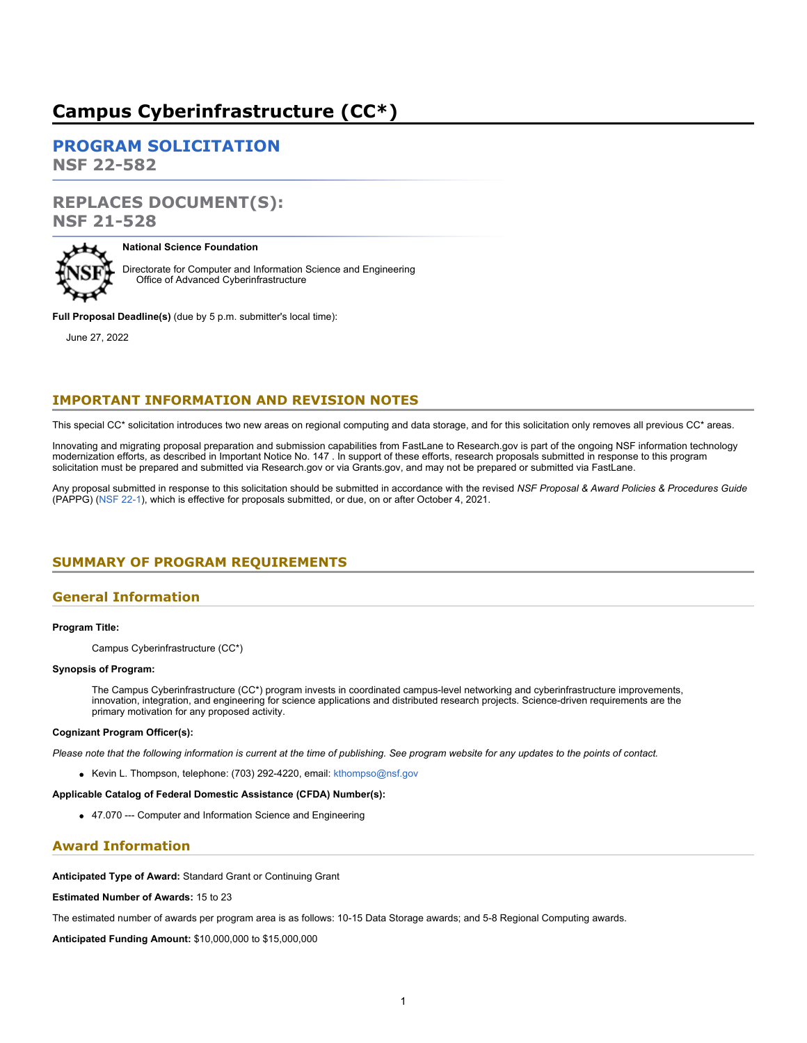## **Campus Cyberinfrastructure (CC\*)**

**[PROGRAM SOLICITATION](#page-2-0) NSF 22-582**

# **REPLACES DOCUMENT(S):**

**NSF 21-528**



### **National Science Foundation**

Directorate for Computer and Information Science and Engineering Office of Advanced Cyberinfrastructure

**Full Proposal Deadline(s)** (due by 5 p.m. submitter's local time):

June 27, 2022

### **IMPORTANT INFORMATION AND REVISION NOTES**

This special CC\* solicitation introduces two new areas on regional computing and data storage, and for this solicitation only removes all previous CC\* areas.

Innovating and migrating proposal preparation and submission capabilities from FastLane to Research.gov is part of the ongoing NSF information technology modernization efforts, as described in Important Notice No. 147 . In support of these efforts, research proposals submitted in response to this program solicitation must be prepared and submitted via Research.gov or via Grants.gov, and may not be prepared or submitted via FastLane.

Any proposal submitted in response to this solicitation should be submitted in accordance with the revised *NSF Proposal & Award Policies & Procedures Guide* (PAPPG) [\(NSF 22-1](https://www.nsf.gov/publications/pub_summ.jsp?ods_key=nsf22001&org=NSF)), which is effective for proposals submitted, or due, on or after October 4, 2021.

### <span id="page-0-0"></span>**SUMMARY OF PROGRAM REQUIREMENTS**

### **General Information**

### **Program Title:**

Campus Cyberinfrastructure (CC\*)

### **Synopsis of Program:**

The Campus Cyberinfrastructure (CC\*) program invests in coordinated campus-level networking and cyberinfrastructure improvements, innovation, integration, and engineering for science applications and distributed research projects. Science-driven requirements are the primary motivation for any proposed activity.

### **Cognizant Program Officer(s):**

*Please note that the following information is current at the time of publishing. See program website for any updates to the points of contact.*

Kevin L. Thompson, telephone: (703) 292-4220, email: [kthompso@nsf.gov](mailto:kthompso@nsf.gov)

### **Applicable Catalog of Federal Domestic Assistance (CFDA) Number(s):**

47.070 --- Computer and Information Science and Engineering

### **Award Information**

**Anticipated Type of Award:** Standard Grant or Continuing Grant

**Estimated Number of Awards:** 15 to 23

The estimated number of awards per program area is as follows: 10-15 Data Storage awards; and 5-8 Regional Computing awards.

**Anticipated Funding Amount:** \$10,000,000 to \$15,000,000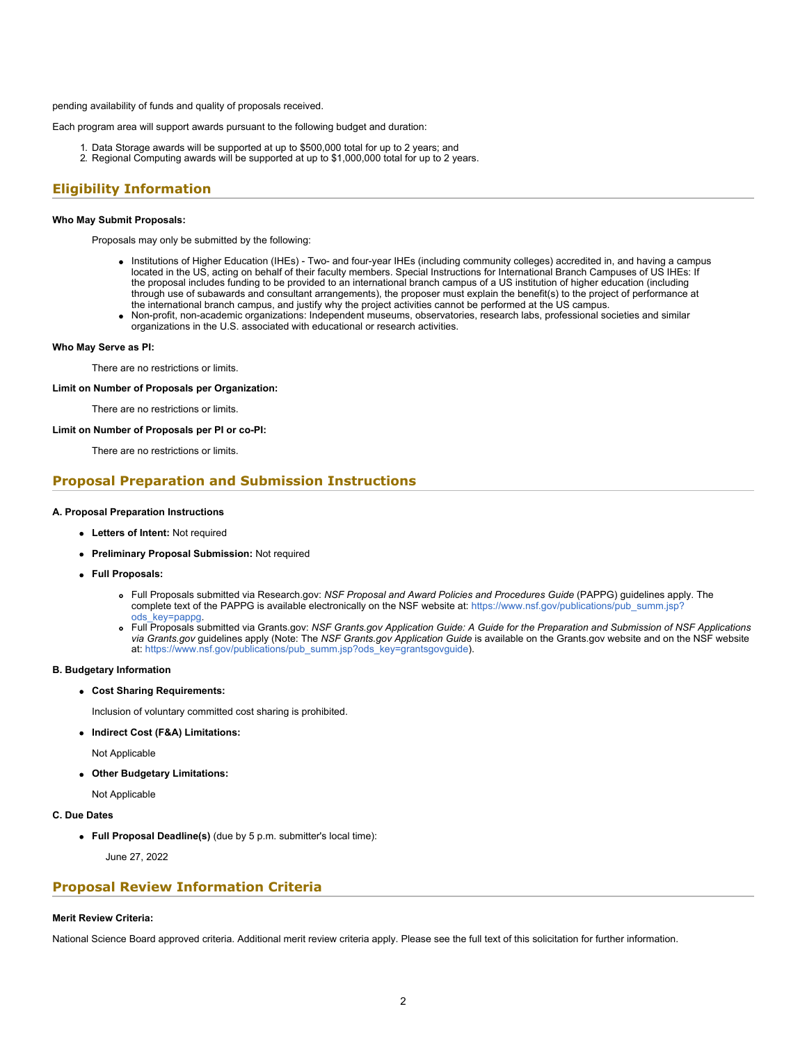pending availability of funds and quality of proposals received.

Each program area will support awards pursuant to the following budget and duration:

- 1. Data Storage awards will be supported at up to \$500,000 total for up to 2 years; and
- 2. Regional Computing awards will be supported at up to \$1,000,000 total for up to 2 years.

### **Eligibility Information**

#### **Who May Submit Proposals:**

Proposals may only be submitted by the following:

- Institutions of Higher Education (IHEs) Two- and four-year IHEs (including community colleges) accredited in, and having a campus located in the US, acting on behalf of their faculty members. Special Instructions for International Branch Campuses of US IHEs: If the proposal includes funding to be provided to an international branch campus of a US institution of higher education (including through use of subawards and consultant arrangements), the proposer must explain the benefit(s) to the project of performance at the international branch campus, and justify why the project activities cannot be performed at the US campus.
- Non-profit, non-academic organizations: Independent museums, observatories, research labs, professional societies and similar organizations in the U.S. associated with educational or research activities.

#### **Who May Serve as PI:**

There are no restrictions or limits.

### **Limit on Number of Proposals per Organization:**

There are no restrictions or limits.

#### **Limit on Number of Proposals per PI or co-PI:**

There are no restrictions or limits.

### **Proposal Preparation and Submission Instructions**

#### **A. Proposal Preparation Instructions**

- **Letters of Intent:** Not required
- **Preliminary Proposal Submission:** Not required
- **Full Proposals:**
	- Full Proposals submitted via Research.gov: *NSF Proposal and Award Policies and Procedures Guide* (PAPPG) guidelines apply. The complete text of the PAPPG is available electronically on the NSF website at: [https://www.nsf.gov/publications/pub\\_summ.jsp?](https://www.nsf.gov/publications/pub_summ.jsp?ods_key=pappg) [ods\\_key=pappg.](https://www.nsf.gov/publications/pub_summ.jsp?ods_key=pappg)
	- Full Proposals submitted via Grants.gov: *NSF Grants.gov Application Guide: A Guide for the Preparation and Submission of NSF Applications via Grants.gov* guidelines apply (Note: The *NSF Grants.gov Application Guide* is available on the Grants.gov website and on the NSF website at: [https://www.nsf.gov/publications/pub\\_summ.jsp?ods\\_key=grantsgovguide](https://www.nsf.gov/publications/pub_summ.jsp?ods_key=grantsgovguide)).

#### **B. Budgetary Information**

**Cost Sharing Requirements:**

Inclusion of voluntary committed cost sharing is prohibited.

**Indirect Cost (F&A) Limitations:**

Not Applicable

**Other Budgetary Limitations:**

Not Applicable

#### **C. Due Dates**

**Full Proposal Deadline(s)** (due by 5 p.m. submitter's local time):

June 27, 2022

### **Proposal Review Information Criteria**

### **Merit Review Criteria:**

National Science Board approved criteria. Additional merit review criteria apply. Please see the full text of this solicitation for further information.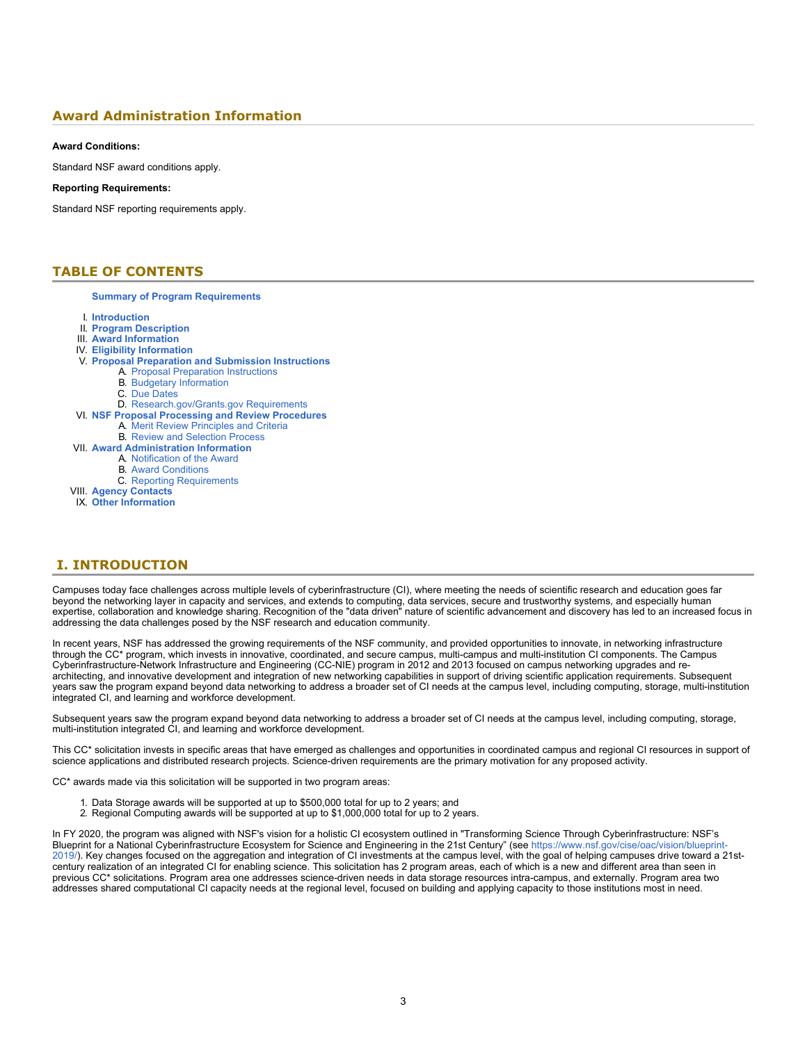### **Award Administration Information**

### **Award Conditions:**

Standard NSF award conditions apply.

### **Reporting Requirements:**

Standard NSF reporting requirements apply.

### <span id="page-2-0"></span>**TABLE OF CONTENTS**

#### **[Summary of Program Requirements](#page-0-0)**

- I. **[Introduction](#page-2-1)**
- II. **[Program Description](#page-3-0)**
- III. **[Award Information](#page-6-0)**
- IV. **[Eligibility Information](#page-6-1)**
- V. **[Proposal Preparation and Submission Instructions](#page-6-2)**
	- A. [Proposal Preparation Instructions](#page-6-2)
	- B. [Budgetary Information](#page-7-0)
	- C. [Due Dates](#page-7-1)
	- D. [Research.gov/Grants.gov Requirements](#page-7-2)
- VI. **[NSF Proposal Processing and Review Procedures](#page-8-0)**
	- A. [Merit Review Principles and Criteria](#page-8-1)
- B. [Review and Selection Process](#page-9-0)
- VII. **[Award Administration Information](#page-9-1)**
	- A. [Notification of the Award](#page-9-2)
	- B. [Award Conditions](#page-10-0)
	- C. [Reporting Requirements](#page-10-1)
- VIII. **[Agency Contacts](#page-10-2)**
- IX. **[Other Information](#page-10-3)**

### <span id="page-2-1"></span>**I. INTRODUCTION**

Campuses today face challenges across multiple levels of cyberinfrastructure (CI), where meeting the needs of scientific research and education goes far beyond the networking layer in capacity and services, and extends to computing, data services, secure and trustworthy systems, and especially human expertise, collaboration and knowledge sharing. Recognition of the "data driven" nature of scientific advancement and discovery has led to an increased focus in addressing the data challenges posed by the NSF research and education community.

In recent years, NSF has addressed the growing requirements of the NSF community, and provided opportunities to innovate, in networking infrastructure through the CC\* program, which invests in innovative, coordinated, and secure campus, multi-campus and multi-institution CI components. The Campus Cyberinfrastructure-Network Infrastructure and Engineering (CC-NIE) program in 2012 and 2013 focused on campus networking upgrades and rearchitecting, and innovative development and integration of new networking capabilities in support of driving scientific application requirements. Subsequent years saw the program expand beyond data networking to address a broader set of CI needs at the campus level, including computing, storage, multi-institution integrated CI, and learning and workforce development.

Subsequent years saw the program expand beyond data networking to address a broader set of CI needs at the campus level, including computing, storage, multi-institution integrated CI, and learning and workforce development.

This CC\* solicitation invests in specific areas that have emerged as challenges and opportunities in coordinated campus and regional CI resources in support of science applications and distributed research projects. Science-driven requirements are the primary motivation for any proposed activity.

CC\* awards made via this solicitation will be supported in two program areas:

- 1. Data Storage awards will be supported at up to \$500,000 total for up to 2 years; and
- 2. Regional Computing awards will be supported at up to \$1,000,000 total for up to 2 years.

In FY 2020, the program was aligned with NSF's vision for a holistic CI ecosystem outlined in "Transforming Science Through Cyberinfrastructure: NSF's Blueprint for a National Cyberinfrastructure Ecosystem for Science and Engineering in the 21st Century" (see [https://www.nsf.gov/cise/oac/vision/blueprint-](https://www.nsf.gov/cise/oac/vision/blueprint-2019/)[2019/\)](https://www.nsf.gov/cise/oac/vision/blueprint-2019/). Key changes focused on the aggregation and integration of CI investments at the campus level, with the goal of helping campuses drive toward a 21stcentury realization of an integrated CI for enabling science. This solicitation has 2 program areas, each of which is a new and different area than seen in previous CC\* solicitations. Program area one addresses science-driven needs in data storage resources intra-campus, and externally. Program area two addresses shared computational CI capacity needs at the regional level, focused on building and applying capacity to those institutions most in need.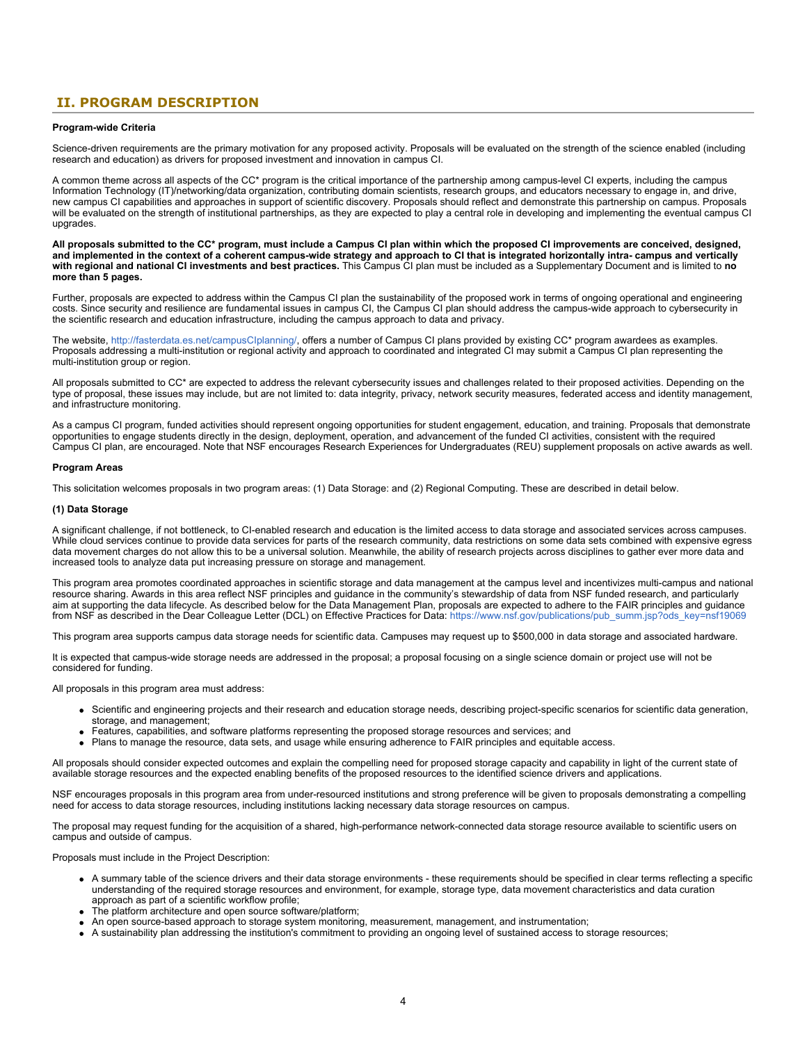### <span id="page-3-0"></span>**II. PROGRAM DESCRIPTION**

### **Program-wide Criteria**

Science-driven requirements are the primary motivation for any proposed activity. Proposals will be evaluated on the strength of the science enabled (including research and education) as drivers for proposed investment and innovation in campus CI.

A common theme across all aspects of the CC\* program is the critical importance of the partnership among campus-level CI experts, including the campus Information Technology (IT)/networking/data organization, contributing domain scientists, research groups, and educators necessary to engage in, and drive, new campus CI capabilities and approaches in support of scientific discovery. Proposals should reflect and demonstrate this partnership on campus. Proposals will be evaluated on the strength of institutional partnerships, as they are expected to play a central role in developing and implementing the eventual campus CI upgrades.

**All proposals submitted to the CC\* program, must include a Campus CI plan within which the proposed CI improvements are conceived, designed, and implemented in the context of a coherent campus-wide strategy and approach to CI that is integrated horizontally intra- campus and vertically with regional and national CI investments and best practices.** This Campus CI plan must be included as a Supplementary Document and is limited to **no more than 5 pages.**

Further, proposals are expected to address within the Campus CI plan the sustainability of the proposed work in terms of ongoing operational and engineering costs. Since security and resilience are fundamental issues in campus CI, the Campus CI plan should address the campus-wide approach to cybersecurity in the scientific research and education infrastructure, including the campus approach to data and privacy.

The website, [http://fasterdata.es.net/campusCIplanning/](https://www.nsf.gov/cgi-bin/goodbye?http://fasterdata.es.net/campusCIplanning/), offers a number of Campus CI plans provided by existing CC\* program awardees as examples. Proposals addressing a multi-institution or regional activity and approach to coordinated and integrated CI may submit a Campus CI plan representing the multi-institution group or region.

All proposals submitted to CC\* are expected to address the relevant cybersecurity issues and challenges related to their proposed activities. Depending on the type of proposal, these issues may include, but are not limited to: data integrity, privacy, network security measures, federated access and identity management, and infrastructure monitoring.

As a campus CI program, funded activities should represent ongoing opportunities for student engagement, education, and training. Proposals that demonstrate opportunities to engage students directly in the design, deployment, operation, and advancement of the funded CI activities, consistent with the required Campus CI plan, are encouraged. Note that NSF encourages Research Experiences for Undergraduates (REU) supplement proposals on active awards as well.

#### **Program Areas**

This solicitation welcomes proposals in two program areas: (1) Data Storage: and (2) Regional Computing. These are described in detail below.

#### **(1) Data Storage**

A significant challenge, if not bottleneck, to CI-enabled research and education is the limited access to data storage and associated services across campuses. While cloud services continue to provide data services for parts of the research community, data restrictions on some data sets combined with expensive egress data movement charges do not allow this to be a universal solution. Meanwhile, the ability of research projects across disciplines to gather ever more data and increased tools to analyze data put increasing pressure on storage and management.

This program area promotes coordinated approaches in scientific storage and data management at the campus level and incentivizes multi-campus and national resource sharing. Awards in this area reflect NSF principles and guidance in the community's stewardship of data from NSF funded research, and particularly aim at supporting the data lifecycle. As described below for the Data Management Plan, proposals are expected to adhere to the FAIR principles and guidance from NSF as described in the Dear Colleague Letter (DCL) on Effective Practices for Data: [https://www.nsf.gov/publications/pub\\_summ.jsp?ods\\_key=nsf19069](https://www.nsf.gov/publications/pub_summ.jsp?ods_key=nsf19069)

This program area supports campus data storage needs for scientific data. Campuses may request up to \$500,000 in data storage and associated hardware.

It is expected that campus-wide storage needs are addressed in the proposal; a proposal focusing on a single science domain or project use will not be considered for funding.

All proposals in this program area must address:

- Scientific and engineering projects and their research and education storage needs, describing project-specific scenarios for scientific data generation, storage, and management;
- Features, capabilities, and software platforms representing the proposed storage resources and services; and
- Plans to manage the resource, data sets, and usage while ensuring adherence to FAIR principles and equitable access.

All proposals should consider expected outcomes and explain the compelling need for proposed storage capacity and capability in light of the current state of available storage resources and the expected enabling benefits of the proposed resources to the identified science drivers and applications.

NSF encourages proposals in this program area from under-resourced institutions and strong preference will be given to proposals demonstrating a compelling need for access to data storage resources, including institutions lacking necessary data storage resources on campus.

The proposal may request funding for the acquisition of a shared, high-performance network-connected data storage resource available to scientific users on campus and outside of campus.

Proposals must include in the Project Description:

- A summary table of the science drivers and their data storage environments these requirements should be specified in clear terms reflecting a specific understanding of the required storage resources and environment, for example, storage type, data movement characteristics and data curation approach as part of a scientific workflow profile;
- The platform architecture and open source software/platform;
- An open source-based approach to storage system monitoring, measurement, management, and instrumentation;
- A sustainability plan addressing the institution's commitment to providing an ongoing level of sustained access to storage resources;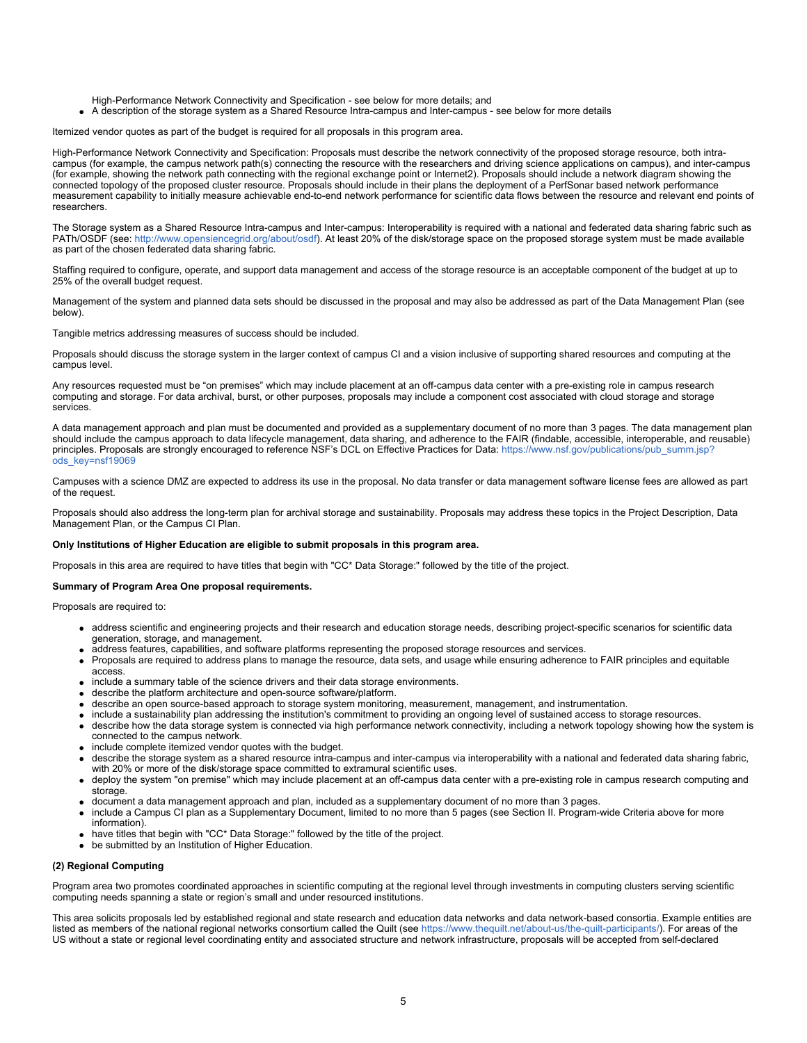High-Performance Network Connectivity and Specification - see below for more details; and

A description of the storage system as a Shared Resource Intra-campus and Inter-campus - see below for more details

Itemized vendor quotes as part of the budget is required for all proposals in this program area.

High-Performance Network Connectivity and Specification: Proposals must describe the network connectivity of the proposed storage resource, both intracampus (for example, the campus network path(s) connecting the resource with the researchers and driving science applications on campus), and inter-campus (for example, showing the network path connecting with the regional exchange point or Internet2). Proposals should include a network diagram showing the connected topology of the proposed cluster resource. Proposals should include in their plans the deployment of a PerfSonar based network performance measurement capability to initially measure achievable end-to-end network performance for scientific data flows between the resource and relevant end points of researchers.

The Storage system as a Shared Resource Intra-campus and Inter-campus: Interoperability is required with a national and federated data sharing fabric such as PATh/OSDF (see: [http://www.opensiencegrid.org/about/osdf](https://www.nsf.gov/cgi-bin/goodbye?http://www.opensiencegrid.org/about/osdf)). At least 20% of the disk/storage space on the proposed storage system must be made available as part of the chosen federated data sharing fabric.

Staffing required to configure, operate, and support data management and access of the storage resource is an acceptable component of the budget at up to 25% of the overall budget request.

Management of the system and planned data sets should be discussed in the proposal and may also be addressed as part of the Data Management Plan (see below).

Tangible metrics addressing measures of success should be included.

Proposals should discuss the storage system in the larger context of campus CI and a vision inclusive of supporting shared resources and computing at the campus level.

Any resources requested must be "on premises" which may include placement at an off-campus data center with a pre-existing role in campus research computing and storage. For data archival, burst, or other purposes, proposals may include a component cost associated with cloud storage and storage services.

A data management approach and plan must be documented and provided as a supplementary document of no more than 3 pages. The data management plan should include the campus approach to data lifecycle management, data sharing, and adherence to the FAIR (findable, accessible, interoperable, and reusable) principles. Proposals are strongly encouraged to reference NSF's DCL on Effective Practices for Data: [https://www.nsf.gov/publications/pub\\_summ.jsp?](https://www.nsf.gov/publications/pub_summ.jsp?ods_key=nsf19069) [ods\\_key=nsf19069](https://www.nsf.gov/publications/pub_summ.jsp?ods_key=nsf19069)

Campuses with a science DMZ are expected to address its use in the proposal. No data transfer or data management software license fees are allowed as part of the request.

Proposals should also address the long-term plan for archival storage and sustainability. Proposals may address these topics in the Project Description, Data Management Plan, or the Campus CI Plan.

#### **Only Institutions of Higher Education are eligible to submit proposals in this program area.**

Proposals in this area are required to have titles that begin with "CC\* Data Storage:" followed by the title of the project.

#### **Summary of Program Area One proposal requirements.**

Proposals are required to:

- address scientific and engineering projects and their research and education storage needs, describing project-specific scenarios for scientific data generation, storage, and management.
- address features, capabilities, and software platforms representing the proposed storage resources and services.
- Proposals are required to address plans to manage the resource, data sets, and usage while ensuring adherence to FAIR principles and equitable access.
- include a summary table of the science drivers and their data storage environments.
- describe the platform architecture and open-source software/platform.
- describe an open source-based approach to storage system monitoring, measurement, management, and instrumentation.
- include a sustainability plan addressing the institution's commitment to providing an ongoing level of sustained access to storage resources.
- describe how the data storage system is connected via high performance network connectivity, including a network topology showing how the system is connected to the campus network.
- include complete itemized vendor quotes with the budget.
- describe the storage system as a shared resource intra-campus and inter-campus via interoperability with a national and federated data sharing fabric, with 20% or more of the disk/storage space committed to extramural scientific uses.
- deploy the system "on premise" which may include placement at an off-campus data center with a pre-existing role in campus research computing and storage.
- document a data management approach and plan, included as a supplementary document of no more than 3 pages.
- include a Campus CI plan as a Supplementary Document, limited to no more than 5 pages (see Section II. Program-wide Criteria above for more information).
- have titles that begin with "CC\* Data Storage:" followed by the title of the project.
- be submitted by an Institution of Higher Education.

#### **(2) Regional Computing**

Program area two promotes coordinated approaches in scientific computing at the regional level through investments in computing clusters serving scientific computing needs spanning a state or region's small and under resourced institutions.

This area solicits proposals led by established regional and state research and education data networks and data network-based consortia. Example entities are listed as members of the national regional networks consortium called the Quilt (see <https://www.thequilt.net/about-us/the-quilt-participants/>). For areas of the US without a state or regional level coordinating entity and associated structure and network infrastructure, proposals will be accepted from self-declared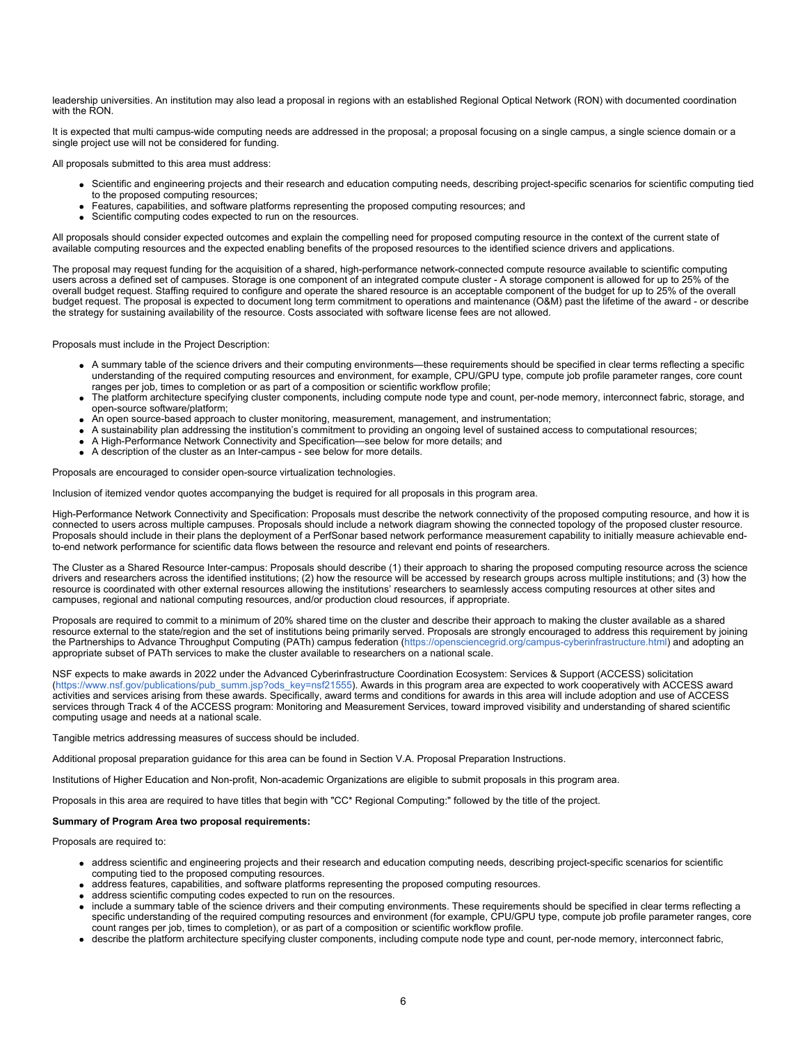leadership universities. An institution may also lead a proposal in regions with an established Regional Optical Network (RON) with documented coordination with the RON.

It is expected that multi campus-wide computing needs are addressed in the proposal; a proposal focusing on a single campus, a single science domain or a single project use will not be considered for funding.

All proposals submitted to this area must address:

- Scientific and engineering projects and their research and education computing needs, describing project-specific scenarios for scientific computing tied to the proposed computing resources;
- Features, capabilities, and software platforms representing the proposed computing resources; and
- Scientific computing codes expected to run on the resources.

All proposals should consider expected outcomes and explain the compelling need for proposed computing resource in the context of the current state of available computing resources and the expected enabling benefits of the proposed resources to the identified science drivers and applications.

The proposal may request funding for the acquisition of a shared, high-performance network-connected compute resource available to scientific computing users across a defined set of campuses. Storage is one component of an integrated compute cluster - A storage component is allowed for up to 25% of the overall budget request. Staffing required to configure and operate the shared resource is an acceptable component of the budget for up to 25% of the overall budget request. The proposal is expected to document long term commitment to operations and maintenance (O&M) past the lifetime of the award - or describe the strategy for sustaining availability of the resource. Costs associated with software license fees are not allowed.

Proposals must include in the Project Description:

- A summary table of the science drivers and their computing environments—these requirements should be specified in clear terms reflecting a specific understanding of the required computing resources and environment, for example, CPU/GPU type, compute job profile parameter ranges, core count ranges per job, times to completion or as part of a composition or scientific workflow profile;
- The platform architecture specifying cluster components, including compute node type and count, per-node memory, interconnect fabric, storage, and open-source software/platform;
- An open source-based approach to cluster monitoring, measurement, management, and instrumentation;
- A sustainability plan addressing the institution's commitment to providing an ongoing level of sustained access to computational resources;
- A High-Performance Network Connectivity and Specification—see below for more details; and
- A description of the cluster as an Inter-campus see below for more details.

Proposals are encouraged to consider open-source virtualization technologies.

Inclusion of itemized vendor quotes accompanying the budget is required for all proposals in this program area.

High-Performance Network Connectivity and Specification: Proposals must describe the network connectivity of the proposed computing resource, and how it is connected to users across multiple campuses. Proposals should include a network diagram showing the connected topology of the proposed cluster resource. Proposals should include in their plans the deployment of a PerfSonar based network performance measurement capability to initially measure achievable endto-end network performance for scientific data flows between the resource and relevant end points of researchers.

The Cluster as a Shared Resource Inter-campus: Proposals should describe (1) their approach to sharing the proposed computing resource across the science drivers and researchers across the identified institutions; (2) how the resource will be accessed by research groups across multiple institutions; and (3) how the resource is coordinated with other external resources allowing the institutions' researchers to seamlessly access computing resources at other sites and campuses, regional and national computing resources, and/or production cloud resources, if appropriate.

Proposals are required to commit to a minimum of 20% shared time on the cluster and describe their approach to making the cluster available as a shared resource external to the state/region and the set of institutions being primarily served. Proposals are strongly encouraged to address this requirement by joining the Partnerships to Advance Throughput Computing (PATh) campus federation ([https://opensciencegrid.org/campus-cyberinfrastructure.html](https://www.nsf.gov/cgi-bin/goodbye?https://opensciencegrid.org/campus-cyberinfrastructure.html)) and adopting an appropriate subset of PATh services to make the cluster available to researchers on a national scale.

NSF expects to make awards in 2022 under the Advanced Cyberinfrastructure Coordination Ecosystem: Services & Support (ACCESS) solicitation [\(https://www.nsf.gov/publications/pub\\_summ.jsp?ods\\_key=nsf21555](https://www.nsf.gov/publications/pub_summ.jsp?ods_key=nsf21555)). Awards in this program area are expected to work cooperatively with ACCESS award activities and services arising from these awards. Specifically, award terms and conditions for awards in this area will include adoption and use of ACCESS services through Track 4 of the ACCESS program: Monitoring and Measurement Services, toward improved visibility and understanding of shared scientific computing usage and needs at a national scale.

Tangible metrics addressing measures of success should be included.

Additional proposal preparation guidance for this area can be found in Section V.A. Proposal Preparation Instructions.

Institutions of Higher Education and Non-profit, Non-academic Organizations are eligible to submit proposals in this program area.

Proposals in this area are required to have titles that begin with "CC\* Regional Computing:" followed by the title of the project.

### **Summary of Program Area two proposal requirements:**

Proposals are required to:

- address scientific and engineering projects and their research and education computing needs, describing project-specific scenarios for scientific computing tied to the proposed computing resources.
- address features, capabilities, and software platforms representing the proposed computing resources.
- address scientific computing codes expected to run on the resources.
- include a summary table of the science drivers and their computing environments. These requirements should be specified in clear terms reflecting a specific understanding of the required computing resources and environment (for example, CPU/GPU type, compute job profile parameter ranges, core count ranges per job, times to completion), or as part of a composition or scientific workflow profile.
- describe the platform architecture specifying cluster components, including compute node type and count, per-node memory, interconnect fabric,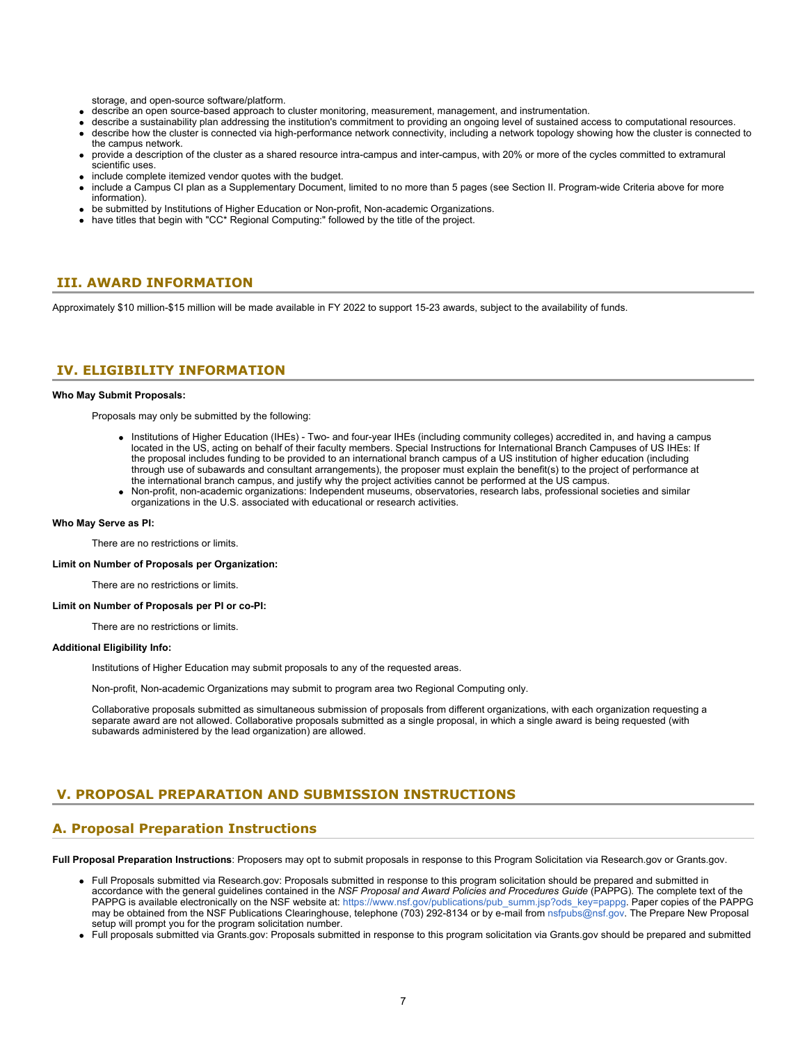storage, and open-source software/platform.

- describe an open source-based approach to cluster monitoring, measurement, management, and instrumentation.
- describe a sustainability plan addressing the institution's commitment to providing an ongoing level of sustained access to computational resources.
- describe how the cluster is connected via high-performance network connectivity, including a network topology showing how the cluster is connected to the campus network.
- provide a description of the cluster as a shared resource intra-campus and inter-campus, with 20% or more of the cycles committed to extramural scientific uses.
- include complete itemized vendor quotes with the budget.
- include a Campus CI plan as a Supplementary Document, limited to no more than 5 pages (see Section II. Program-wide Criteria above for more information).
- be submitted by Institutions of Higher Education or Non-profit, Non-academic Organizations.
- have titles that begin with "CC\* Regional Computing:" followed by the title of the project.

### <span id="page-6-0"></span>**III. AWARD INFORMATION**

Approximately \$10 million-\$15 million will be made available in FY 2022 to support 15-23 awards, subject to the availability of funds.

### <span id="page-6-1"></span>**IV. ELIGIBILITY INFORMATION**

#### **Who May Submit Proposals:**

Proposals may only be submitted by the following:

- Institutions of Higher Education (IHEs) Two- and four-year IHEs (including community colleges) accredited in, and having a campus located in the US, acting on behalf of their faculty members. Special Instructions for International Branch Campuses of US IHEs: If the proposal includes funding to be provided to an international branch campus of a US institution of higher education (including through use of subawards and consultant arrangements), the proposer must explain the benefit(s) to the project of performance at the international branch campus, and justify why the project activities cannot be performed at the US campus.
- Non-profit, non-academic organizations: Independent museums, observatories, research labs, professional societies and similar organizations in the U.S. associated with educational or research activities.

#### **Who May Serve as PI:**

There are no restrictions or limits.

**Limit on Number of Proposals per Organization:**

There are no restrictions or limits.

**Limit on Number of Proposals per PI or co-PI:**

There are no restrictions or limits.

#### **Additional Eligibility Info:**

Institutions of Higher Education may submit proposals to any of the requested areas.

Non-profit, Non-academic Organizations may submit to program area two Regional Computing only.

Collaborative proposals submitted as simultaneous submission of proposals from different organizations, with each organization requesting a separate award are not allowed. Collaborative proposals submitted as a single proposal, in which a single award is being requested (with subawards administered by the lead organization) are allowed.

### <span id="page-6-2"></span>**V. PROPOSAL PREPARATION AND SUBMISSION INSTRUCTIONS**

### **A. Proposal Preparation Instructions**

**Full Proposal Preparation Instructions**: Proposers may opt to submit proposals in response to this Program Solicitation via Research.gov or Grants.gov.

- Full Proposals submitted via Research.gov: Proposals submitted in response to this program solicitation should be prepared and submitted in accordance with the general guidelines contained in the *NSF Proposal and Award Policies and Procedures Guide* (PAPPG). The complete text of the PAPPG is available electronically on the NSF website at: [https://www.nsf.gov/publications/pub\\_summ.jsp?ods\\_key=pappg](https://www.nsf.gov/publications/pub_summ.jsp?ods_key=pappg). Paper copies of the PAPPG may be obtained from the NSF Publications Clearinghouse, telephone (703) 292-8134 or by e-mail from [nsfpubs@nsf.gov.](mailto:nsfpubs@nsf.gov) The Prepare New Proposal setup will prompt you for the program solicitation number.
- Full proposals submitted via Grants.gov: Proposals submitted in response to this program solicitation via Grants.gov should be prepared and submitted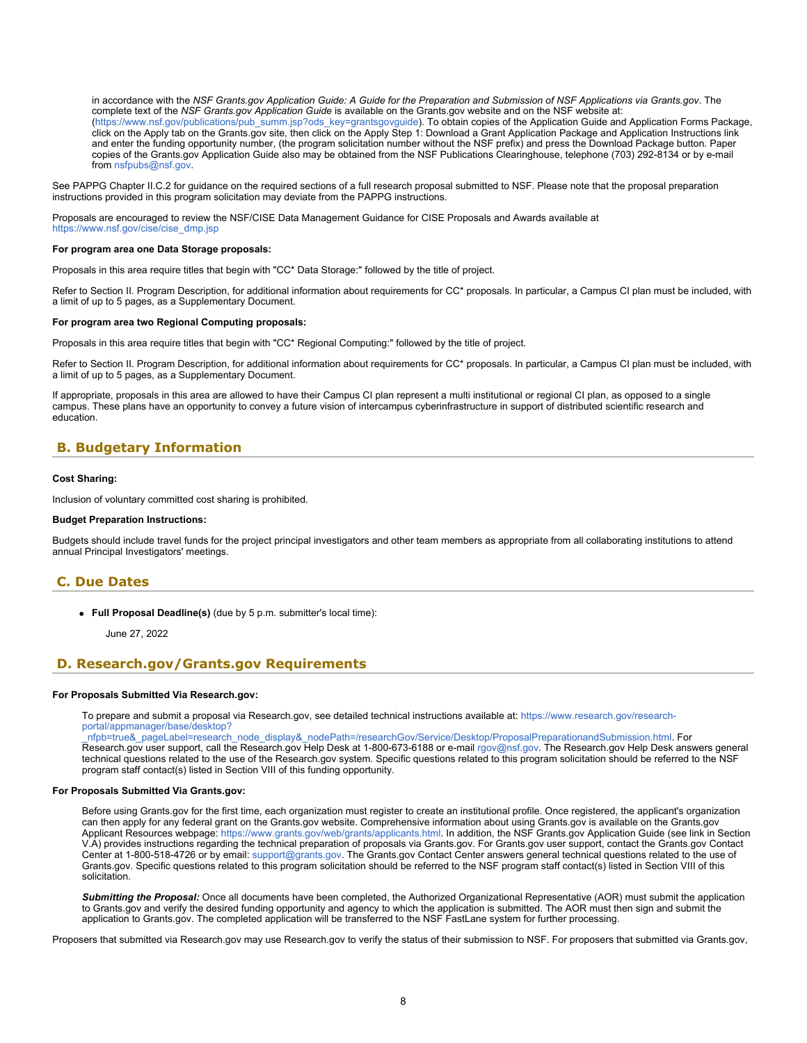in accordance with the *NSF Grants.gov Application Guide: A Guide for the Preparation and Submission of NSF Applications via Grants.gov*. The complete text of the *NSF Grants.gov Application Guide* is available on the Grants.gov website and on the NSF website at: [\(https://www.nsf.gov/publications/pub\\_summ.jsp?ods\\_key=grantsgovguide](https://www.nsf.gov/publications/pub_summ.jsp?ods_key=grantsgovguide)). To obtain copies of the Application Guide and Application Forms Package, click on the Apply tab on the Grants.gov site, then click on the Apply Step 1: Download a Grant Application Package and Application Instructions link and enter the funding opportunity number, (the program solicitation number without the NSF prefix) and press the Download Package button. Paper copies of the Grants.gov Application Guide also may be obtained from the NSF Publications Clearinghouse, telephone (703) 292-8134 or by e-mail from [nsfpubs@nsf.gov](mailto:nsfpubs@nsf.gov).

See PAPPG Chapter II.C.2 for guidance on the required sections of a full research proposal submitted to NSF. Please note that the proposal preparation instructions provided in this program solicitation may deviate from the PAPPG instructions.

Proposals are encouraged to review the NSF/CISE Data Management Guidance for CISE Proposals and Awards available at [https://www.nsf.gov/cise/cise\\_dmp.jsp](https://www.nsf.gov/cise/cise_dmp.jsp)

#### **For program area one Data Storage proposals:**

Proposals in this area require titles that begin with "CC\* Data Storage:" followed by the title of project.

Refer to Section II. Program Description, for additional information about requirements for CC\* proposals. In particular, a Campus CI plan must be included, with a limit of up to 5 pages, as a Supplementary Document.

#### **For program area two Regional Computing proposals:**

Proposals in this area require titles that begin with "CC\* Regional Computing:" followed by the title of project.

Refer to Section II. Program Description, for additional information about requirements for CC\* proposals. In particular, a Campus CI plan must be included, with a limit of up to 5 pages, as a Supplementary Document.

If appropriate, proposals in this area are allowed to have their Campus CI plan represent a multi institutional or regional CI plan, as opposed to a single campus. These plans have an opportunity to convey a future vision of intercampus cyberinfrastructure in support of distributed scientific research and education.

### <span id="page-7-0"></span>**B. Budgetary Information**

#### **Cost Sharing:**

Inclusion of voluntary committed cost sharing is prohibited.

### **Budget Preparation Instructions:**

Budgets should include travel funds for the project principal investigators and other team members as appropriate from all collaborating institutions to attend annual Principal Investigators' meetings.

### <span id="page-7-1"></span>**C. Due Dates**

**Full Proposal Deadline(s)** (due by 5 p.m. submitter's local time):

June 27, 2022

### <span id="page-7-2"></span>**D. Research.gov/Grants.gov Requirements**

#### **For Proposals Submitted Via Research.gov:**

To prepare and submit a proposal via Research.gov, see detailed technical instructions available at: [https://www.research.gov/research](https://www.research.gov/research-portal/appmanager/base/desktop?_nfpb=true&_pageLabel=research_node_display&_nodePath=/researchGov/Service/Desktop/ProposalPreparationandSubmission.html)[portal/appmanager/base/desktop?](https://www.research.gov/research-portal/appmanager/base/desktop?_nfpb=true&_pageLabel=research_node_display&_nodePath=/researchGov/Service/Desktop/ProposalPreparationandSubmission.html)

[\\_nfpb=true&\\_pageLabel=research\\_node\\_display&\\_nodePath=/researchGov/Service/Desktop/ProposalPreparationandSubmission.html](https://www.research.gov/research-portal/appmanager/base/desktop?_nfpb=true&_pageLabel=research_node_display&_nodePath=/researchGov/Service/Desktop/ProposalPreparationandSubmission.html). For Research.gov user support, call the Research.gov Help Desk at 1-800-673-6188 or e-mail [rgov@nsf.gov](mailto:rgov@nsf.gov). The Research.gov Help Desk answers general technical questions related to the use of the Research.gov system. Specific questions related to this program solicitation should be referred to the NSF program staff contact(s) listed in Section VIII of this funding opportunity.

### **For Proposals Submitted Via Grants.gov:**

Before using Grants.gov for the first time, each organization must register to create an institutional profile. Once registered, the applicant's organization can then apply for any federal grant on the Grants.gov website. Comprehensive information about using Grants.gov is available on the Grants.gov Applicant Resources webpage:<https://www.grants.gov/web/grants/applicants.html>. In addition, the NSF Grants.gov Application Guide (see link in Section V.A) provides instructions regarding the technical preparation of proposals via Grants.gov. For Grants.gov user support, contact the Grants.gov Contact Center at 1-800-518-4726 or by email: [support@grants.gov](mailto:support@grants.gov). The Grants.gov Contact Center answers general technical questions related to the use of Grants.gov. Specific questions related to this program solicitation should be referred to the NSF program staff contact(s) listed in Section VIII of this solicitation.

*Submitting the Proposal:* Once all documents have been completed, the Authorized Organizational Representative (AOR) must submit the application to Grants.gov and verify the desired funding opportunity and agency to which the application is submitted. The AOR must then sign and submit the application to Grants.gov. The completed application will be transferred to the NSF FastLane system for further processing.

Proposers that submitted via Research.gov may use Research.gov to verify the status of their submission to NSF. For proposers that submitted via Grants.gov,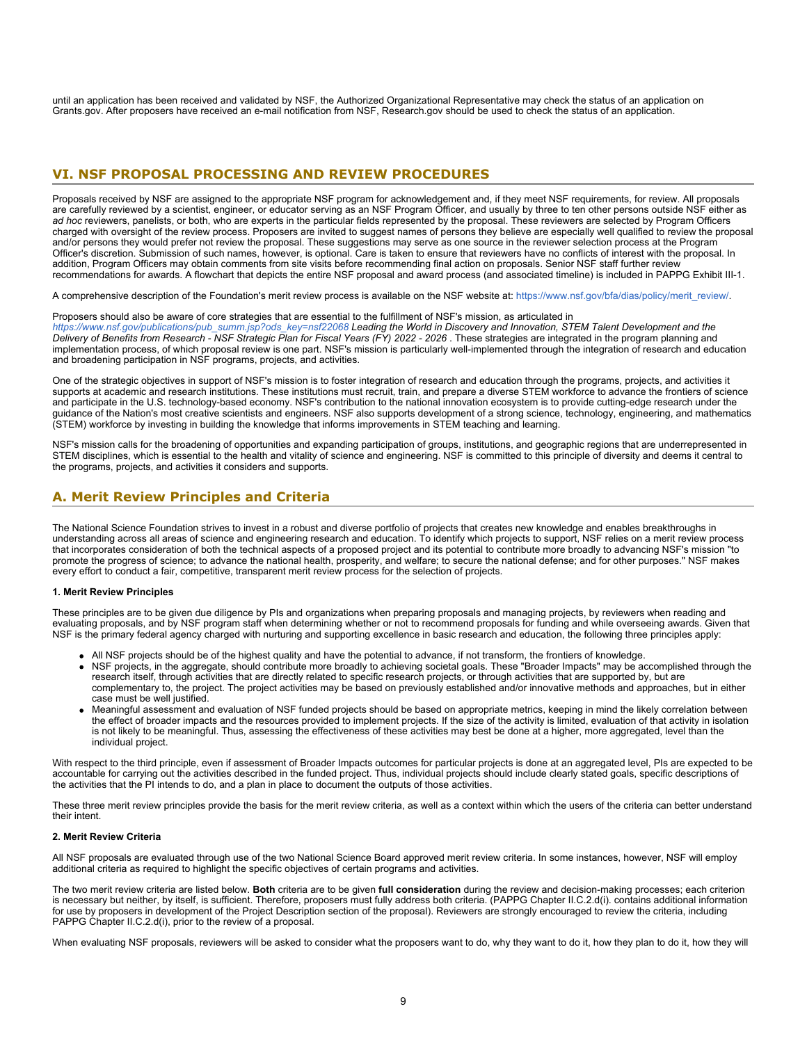until an application has been received and validated by NSF, the Authorized Organizational Representative may check the status of an application on Grants.gov. After proposers have received an e-mail notification from NSF, Research.gov should be used to check the status of an application.

### <span id="page-8-0"></span>**VI. NSF PROPOSAL PROCESSING AND REVIEW PROCEDURES**

Proposals received by NSF are assigned to the appropriate NSF program for acknowledgement and, if they meet NSF requirements, for review. All proposals are carefully reviewed by a scientist, engineer, or educator serving as an NSF Program Officer, and usually by three to ten other persons outside NSF either as *ad hoc* reviewers, panelists, or both, who are experts in the particular fields represented by the proposal. These reviewers are selected by Program Officers charged with oversight of the review process. Proposers are invited to suggest names of persons they believe are especially well qualified to review the proposal and/or persons they would prefer not review the proposal. These suggestions may serve as one source in the reviewer selection process at the Program Officer's discretion. Submission of such names, however, is optional. Care is taken to ensure that reviewers have no conflicts of interest with the proposal. In addition, Program Officers may obtain comments from site visits before recommending final action on proposals. Senior NSF staff further review recommendations for awards. A flowchart that depicts the entire NSF proposal and award process (and associated timeline) is included in PAPPG Exhibit III-1.

A comprehensive description of the Foundation's merit review process is available on the NSF website at: [https://www.nsf.gov/bfa/dias/policy/merit\\_review/](https://www.nsf.gov/bfa/dias/policy/merit_review/).

Proposers should also be aware of core strategies that are essential to the fulfillment of NSF's mission, as articulated in

*[https://www.nsf.gov/publications/pub\\_summ.jsp?ods\\_key=nsf22068](https://www.nsf.gov/publications/pub_summ.jsp?ods_key=nsf22068) Leading the World in Discovery and Innovation, STEM Talent Development and the Delivery of Benefits from Research - NSF Strategic Plan for Fiscal Years (FY) 2022 - 2026* . These strategies are integrated in the program planning and implementation process, of which proposal review is one part. NSF's mission is particularly well-implemented through the integration of research and education and broadening participation in NSF programs, projects, and activities.

One of the strategic objectives in support of NSF's mission is to foster integration of research and education through the programs, projects, and activities it supports at academic and research institutions. These institutions must recruit, train, and prepare a diverse STEM workforce to advance the frontiers of science and participate in the U.S. technology-based economy. NSF's contribution to the national innovation ecosystem is to provide cutting-edge research under the guidance of the Nation's most creative scientists and engineers. NSF also supports development of a strong science, technology, engineering, and mathematics (STEM) workforce by investing in building the knowledge that informs improvements in STEM teaching and learning.

NSF's mission calls for the broadening of opportunities and expanding participation of groups, institutions, and geographic regions that are underrepresented in STEM disciplines, which is essential to the health and vitality of science and engineering. NSF is committed to this principle of diversity and deems it central to the programs, projects, and activities it considers and supports.

### <span id="page-8-1"></span>**A. Merit Review Principles and Criteria**

The National Science Foundation strives to invest in a robust and diverse portfolio of projects that creates new knowledge and enables breakthroughs in understanding across all areas of science and engineering research and education. To identify which projects to support, NSF relies on a merit review process that incorporates consideration of both the technical aspects of a proposed project and its potential to contribute more broadly to advancing NSF's mission "to promote the progress of science; to advance the national health, prosperity, and welfare; to secure the national defense; and for other purposes." NSF makes every effort to conduct a fair, competitive, transparent merit review process for the selection of projects.

### **1. Merit Review Principles**

These principles are to be given due diligence by PIs and organizations when preparing proposals and managing projects, by reviewers when reading and evaluating proposals, and by NSF program staff when determining whether or not to recommend proposals for funding and while overseeing awards. Given that NSF is the primary federal agency charged with nurturing and supporting excellence in basic research and education, the following three principles apply:

- All NSF projects should be of the highest quality and have the potential to advance, if not transform, the frontiers of knowledge.
- NSF projects, in the aggregate, should contribute more broadly to achieving societal goals. These "Broader Impacts" may be accomplished through the research itself, through activities that are directly related to specific research projects, or through activities that are supported by, but are complementary to, the project. The project activities may be based on previously established and/or innovative methods and approaches, but in either case must be well justified.
- Meaningful assessment and evaluation of NSF funded projects should be based on appropriate metrics, keeping in mind the likely correlation between the effect of broader impacts and the resources provided to implement projects. If the size of the activity is limited, evaluation of that activity in isolation is not likely to be meaningful. Thus, assessing the effectiveness of these activities may best be done at a higher, more aggregated, level than the individual project.

With respect to the third principle, even if assessment of Broader Impacts outcomes for particular projects is done at an aggregated level, PIs are expected to be accountable for carrying out the activities described in the funded project. Thus, individual projects should include clearly stated goals, specific descriptions of the activities that the PI intends to do, and a plan in place to document the outputs of those activities.

These three merit review principles provide the basis for the merit review criteria, as well as a context within which the users of the criteria can better understand their intent.

### **2. Merit Review Criteria**

All NSF proposals are evaluated through use of the two National Science Board approved merit review criteria. In some instances, however, NSF will employ additional criteria as required to highlight the specific objectives of certain programs and activities.

The two merit review criteria are listed below. **Both** criteria are to be given **full consideration** during the review and decision-making processes; each criterion is necessary but neither, by itself, is sufficient. Therefore, proposers must fully address both criteria. (PAPPG Chapter II.C.2.d(i). contains additional information for use by proposers in development of the Project Description section of the proposal). Reviewers are strongly encouraged to review the criteria, including PAPPG Chapter II.C.2.d(i), prior to the review of a proposal.

When evaluating NSF proposals, reviewers will be asked to consider what the proposers want to do, why they want to do it, how they plan to do it, how they will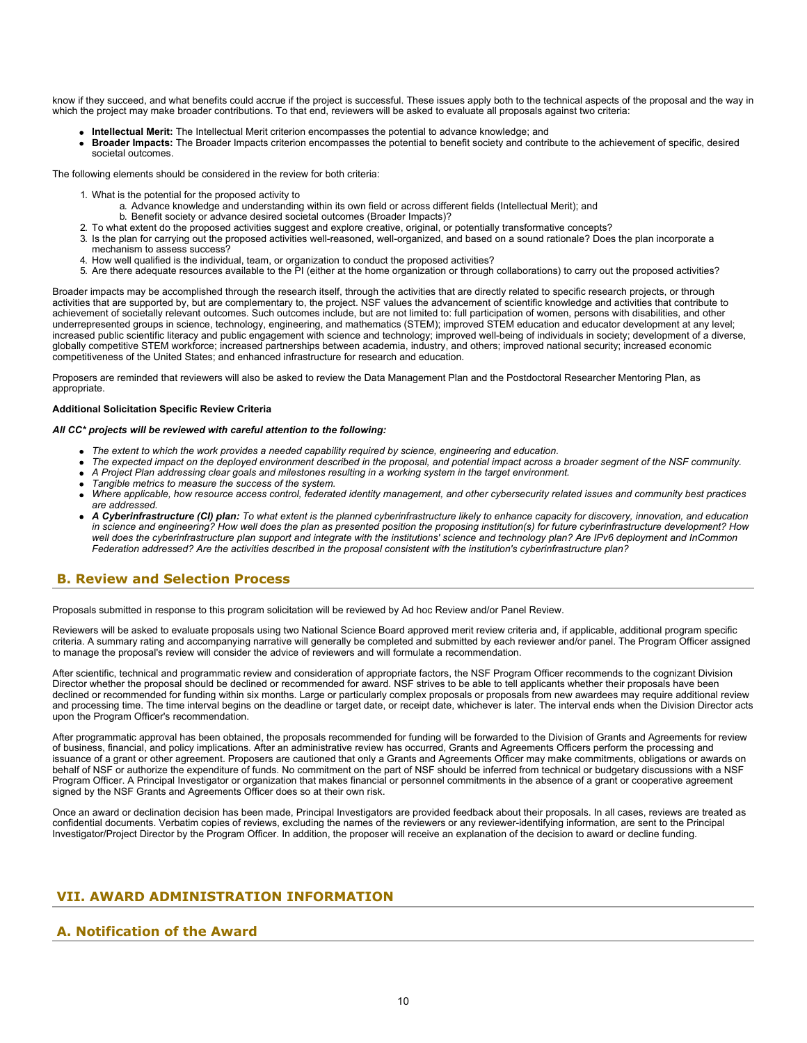know if they succeed, and what benefits could accrue if the project is successful. These issues apply both to the technical aspects of the proposal and the way in which the project may make broader contributions. To that end, reviewers will be asked to evaluate all proposals against two criteria:

- **Intellectual Merit:** The Intellectual Merit criterion encompasses the potential to advance knowledge; and
- **Broader Impacts:** The Broader Impacts criterion encompasses the potential to benefit society and contribute to the achievement of specific, desired societal outcomes.

The following elements should be considered in the review for both criteria:

- 1. What is the potential for the proposed activity to
	- a. Advance knowledge and understanding within its own field or across different fields (Intellectual Merit); and
	- b. Benefit society or advance desired societal outcomes (Broader Impacts)?
- 2. To what extent do the proposed activities suggest and explore creative, original, or potentially transformative concepts?
- 3. Is the plan for carrying out the proposed activities well-reasoned, well-organized, and based on a sound rationale? Does the plan incorporate a mechanism to assess success?
- 4. How well qualified is the individual, team, or organization to conduct the proposed activities?
- 5. Are there adequate resources available to the PI (either at the home organization or through collaborations) to carry out the proposed activities?

Broader impacts may be accomplished through the research itself, through the activities that are directly related to specific research projects, or through activities that are supported by, but are complementary to, the project. NSF values the advancement of scientific knowledge and activities that contribute to achievement of societally relevant outcomes. Such outcomes include, but are not limited to: full participation of women, persons with disabilities, and other underrepresented groups in science, technology, engineering, and mathematics (STEM); improved STEM education and educator development at any level; increased public scientific literacy and public engagement with science and technology; improved well-being of individuals in society; development of a diverse, globally competitive STEM workforce; increased partnerships between academia, industry, and others; improved national security; increased economic competitiveness of the United States; and enhanced infrastructure for research and education.

Proposers are reminded that reviewers will also be asked to review the Data Management Plan and the Postdoctoral Researcher Mentoring Plan, as appropriate.

#### **Additional Solicitation Specific Review Criteria**

#### *All CC\* projects will be reviewed with careful attention to the following:*

- *The extent to which the work provides a needed capability required by science, engineering and education.*
- *The expected impact on the deployed environment described in the proposal, and potential impact across a broader segment of the NSF community. A Project Plan addressing clear goals and milestones resulting in a working system in the target environment.*
- *Tangible metrics to measure the success of the system.*
- *Where applicable, how resource access control, federated identity management, and other cybersecurity related issues and community best practices are addressed.*
- *A Cyberinfrastructure (CI) plan: To what extent is the planned cyberinfrastructure likely to enhance capacity for discovery, innovation, and education in science and engineering? How well does the plan as presented position the proposing institution(s) for future cyberinfrastructure development? How well does the cyberinfrastructure plan support and integrate with the institutions' science and technology plan? Are IPv6 deployment and InCommon Federation addressed? Are the activities described in the proposal consistent with the institution's cyberinfrastructure plan?*

### <span id="page-9-0"></span>**B. Review and Selection Process**

Proposals submitted in response to this program solicitation will be reviewed by Ad hoc Review and/or Panel Review.

Reviewers will be asked to evaluate proposals using two National Science Board approved merit review criteria and, if applicable, additional program specific criteria. A summary rating and accompanying narrative will generally be completed and submitted by each reviewer and/or panel. The Program Officer assigned to manage the proposal's review will consider the advice of reviewers and will formulate a recommendation.

After scientific, technical and programmatic review and consideration of appropriate factors, the NSF Program Officer recommends to the cognizant Division Director whether the proposal should be declined or recommended for award. NSF strives to be able to tell applicants whether their proposals have been declined or recommended for funding within six months. Large or particularly complex proposals or proposals from new awardees may require additional review and processing time. The time interval begins on the deadline or target date, or receipt date, whichever is later. The interval ends when the Division Director acts upon the Program Officer's recommendation.

After programmatic approval has been obtained, the proposals recommended for funding will be forwarded to the Division of Grants and Agreements for review of business, financial, and policy implications. After an administrative review has occurred, Grants and Agreements Officers perform the processing and issuance of a grant or other agreement. Proposers are cautioned that only a Grants and Agreements Officer may make commitments, obligations or awards on behalf of NSF or authorize the expenditure of funds. No commitment on the part of NSF should be inferred from technical or budgetary discussions with a NSF Program Officer. A Principal Investigator or organization that makes financial or personnel commitments in the absence of a grant or cooperative agreement signed by the NSF Grants and Agreements Officer does so at their own risk.

Once an award or declination decision has been made, Principal Investigators are provided feedback about their proposals. In all cases, reviews are treated as confidential documents. Verbatim copies of reviews, excluding the names of the reviewers or any reviewer-identifying information, are sent to the Principal Investigator/Project Director by the Program Officer. In addition, the proposer will receive an explanation of the decision to award or decline funding.

### <span id="page-9-1"></span>**VII. AWARD ADMINISTRATION INFORMATION**

### <span id="page-9-2"></span>**A. Notification of the Award**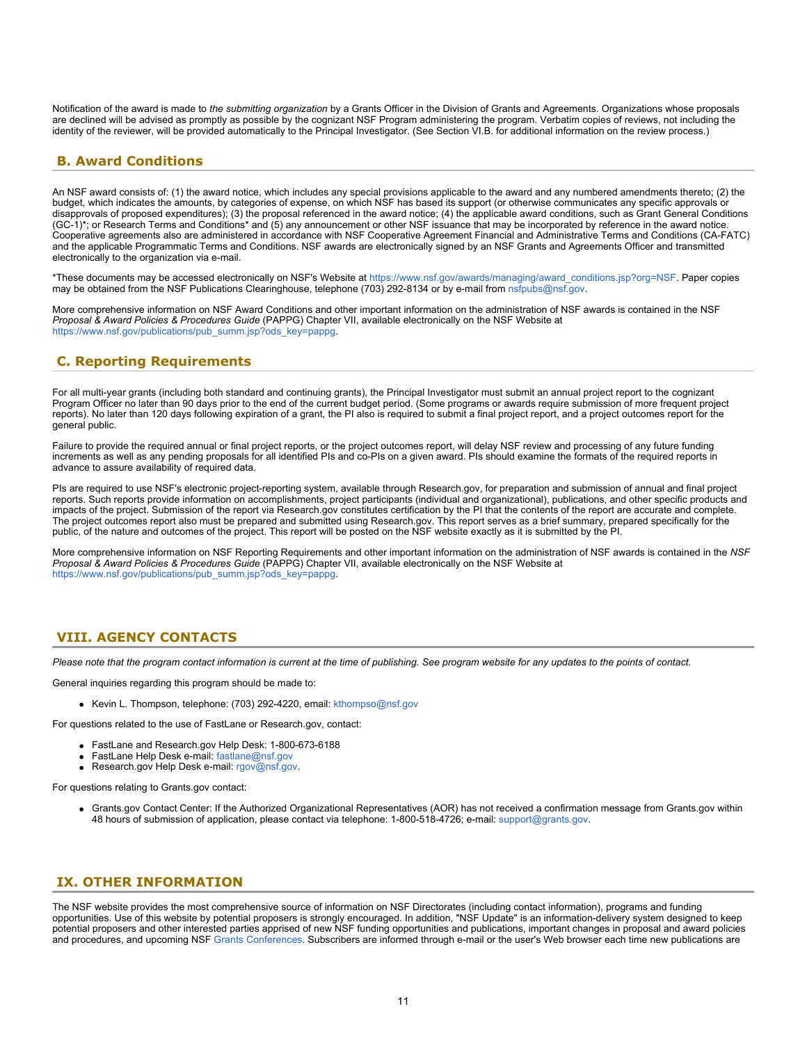Notification of the award is made to *the submitting organization* by a Grants Officer in the Division of Grants and Agreements. Organizations whose proposals are declined will be advised as promptly as possible by the cognizant NSF Program administering the program. Verbatim copies of reviews, not including the identity of the reviewer, will be provided automatically to the Principal Investigator. (See Section VI.B. for additional information on the review process.)

### <span id="page-10-0"></span>**B. Award Conditions**

An NSF award consists of: (1) the award notice, which includes any special provisions applicable to the award and any numbered amendments thereto; (2) the budget, which indicates the amounts, by categories of expense, on which NSF has based its support (or otherwise communicates any specific approvals or disapprovals of proposed expenditures); (3) the proposal referenced in the award notice; (4) the applicable award conditions, such as Grant General Conditions (GC-1)\*; or Research Terms and Conditions\* and (5) any announcement or other NSF issuance that may be incorporated by reference in the award notice. Cooperative agreements also are administered in accordance with NSF Cooperative Agreement Financial and Administrative Terms and Conditions (CA-FATC) and the applicable Programmatic Terms and Conditions. NSF awards are electronically signed by an NSF Grants and Agreements Officer and transmitted electronically to the organization via e-mail.

\*These documents may be accessed electronically on NSF's Website at [https://www.nsf.gov/awards/managing/award\\_conditions.jsp?org=NSF](https://www.nsf.gov/awards/managing/award_conditions.jsp?org=NSF). Paper copies may be obtained from the NSF Publications Clearinghouse, telephone (703) 292-8134 or by e-mail from [nsfpubs@nsf.gov.](mailto:nsfpubs@nsf.gov)

More comprehensive information on NSF Award Conditions and other important information on the administration of NSF awards is contained in the NSF *Proposal & Award Policies & Procedures Guide* (PAPPG) Chapter VII, available electronically on the NSF Website at [https://www.nsf.gov/publications/pub\\_summ.jsp?ods\\_key=pappg.](https://www.nsf.gov/publications/pub_summ.jsp?ods_key=pappg)

### <span id="page-10-1"></span>**C. Reporting Requirements**

For all multi-year grants (including both standard and continuing grants), the Principal Investigator must submit an annual project report to the cognizant Program Officer no later than 90 days prior to the end of the current budget period. (Some programs or awards require submission of more frequent project reports). No later than 120 days following expiration of a grant, the PI also is required to submit a final project report, and a project outcomes report for the general public.

Failure to provide the required annual or final project reports, or the project outcomes report, will delay NSF review and processing of any future funding increments as well as any pending proposals for all identified PIs and co-PIs on a given award. PIs should examine the formats of the required reports in advance to assure availability of required data.

PIs are required to use NSF's electronic project-reporting system, available through Research.gov, for preparation and submission of annual and final project reports. Such reports provide information on accomplishments, project participants (individual and organizational), publications, and other specific products and impacts of the project. Submission of the report via Research.gov constitutes certification by the PI that the contents of the report are accurate and complete. The project outcomes report also must be prepared and submitted using Research.gov. This report serves as a brief summary, prepared specifically for the public, of the nature and outcomes of the project. This report will be posted on the NSF website exactly as it is submitted by the PI.

More comprehensive information on NSF Reporting Requirements and other important information on the administration of NSF awards is contained in the *NSF Proposal & Award Policies & Procedures Guide* (PAPPG) Chapter VII, available electronically on the NSF Website at [https://www.nsf.gov/publications/pub\\_summ.jsp?ods\\_key=pappg.](https://www.nsf.gov/publications/pub_summ.jsp?ods_key=pappg)

### <span id="page-10-2"></span>**VIII. AGENCY CONTACTS**

*Please note that the program contact information is current at the time of publishing. See program website for any updates to the points of contact.*

General inquiries regarding this program should be made to:

Kevin L. Thompson, telephone: (703) 292-4220, email: [kthompso@nsf.gov](mailto:kthompso@nsf.gov)

For questions related to the use of FastLane or Research.gov, contact:

- FastLane and Research.gov Help Desk: 1-800-673-6188
- FastLane Help Desk e-mail: [fastlane@nsf.gov](mailto:fastlane@nsf.gov)
- Research.gov Help Desk e-mail: [rgov@nsf.gov](mailto:rgov@nsf.gov).

For questions relating to Grants.gov contact:

Grants.gov Contact Center: If the Authorized Organizational Representatives (AOR) has not received a confirmation message from Grants.gov within 48 hours of submission of application, please contact via telephone: 1-800-518-4726; e-mail: [support@grants.gov](mailto:support@grants.gov).

### <span id="page-10-3"></span>**IX. OTHER INFORMATION**

The NSF website provides the most comprehensive source of information on NSF Directorates (including contact information), programs and funding opportunities. Use of this website by potential proposers is strongly encouraged. In addition, "NSF Update" is an information-delivery system designed to keep potential proposers and other interested parties apprised of new NSF funding opportunities and publications, important changes in proposal and award policies and procedures, and upcoming NSF [Grants Conferences](https://www.nsf.gov/bfa/dias/policy/outreach.jsp). Subscribers are informed through e-mail or the user's Web browser each time new publications are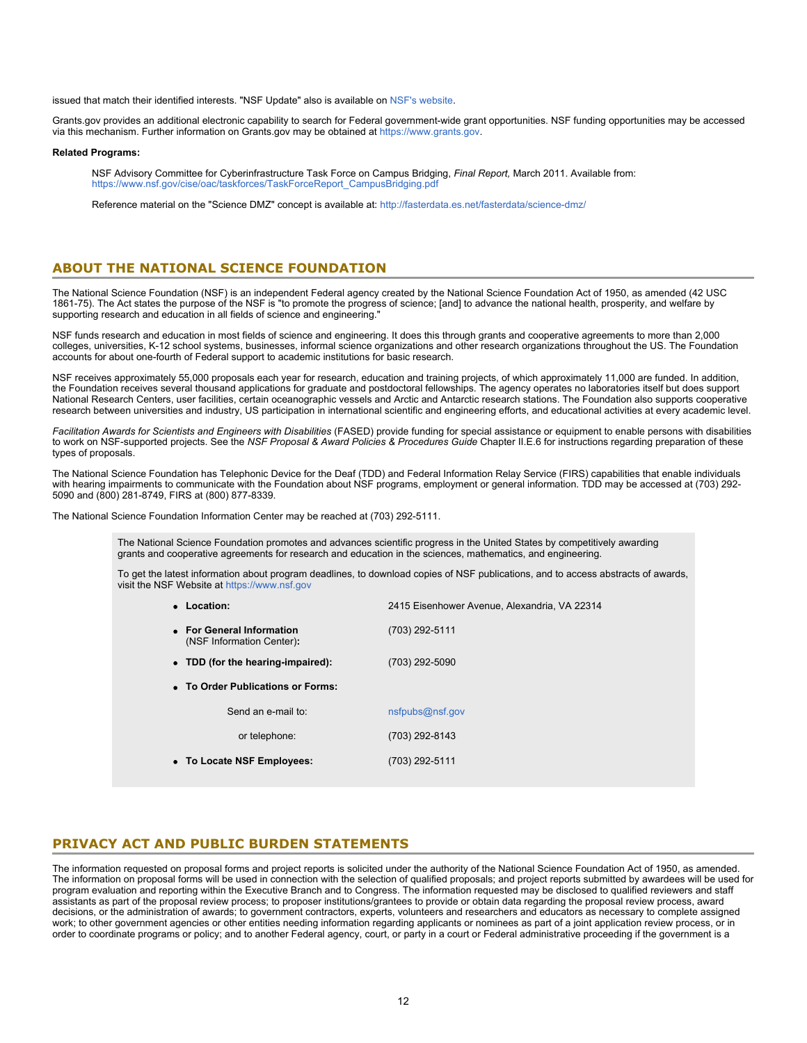issued that match their identified interests. "NSF Update" also is available on [NSF's website](https://www.nsf.gov/cgi-bin/goodbye?https://public.govdelivery.com/accounts/USNSF/subscriber/new?topic_id=USNSF_179).

Grants.gov provides an additional electronic capability to search for Federal government-wide grant opportunities. NSF funding opportunities may be accessed via this mechanism. Further information on Grants.gov may be obtained at [https://www.grants.gov](https://www.grants.gov/).

#### **Related Programs:**

NSF Advisory Committee for Cyberinfrastructure Task Force on Campus Bridging, *Final Report,* March 2011. Available from: [https://www.nsf.gov/cise/oac/taskforces/TaskForceReport\\_CampusBridging.pdf](https://www.nsf.gov/cise/oac/taskforces/TaskForceReport_CampusBridging.pdf)

Reference material on the "Science DMZ" concept is available at: [http://fasterdata.es.net/fasterdata/science-dmz/](https://www.acpt.nsf.gov/cgi-bin/good-bye?http://fasterdata.es.net/fasterdata/science-dmz/)

### **ABOUT THE NATIONAL SCIENCE FOUNDATION**

The National Science Foundation (NSF) is an independent Federal agency created by the National Science Foundation Act of 1950, as amended (42 USC 1861-75). The Act states the purpose of the NSF is "to promote the progress of science; [and] to advance the national health, prosperity, and welfare by supporting research and education in all fields of science and engineering."

NSF funds research and education in most fields of science and engineering. It does this through grants and cooperative agreements to more than 2,000 colleges, universities, K-12 school systems, businesses, informal science organizations and other research organizations throughout the US. The Foundation accounts for about one-fourth of Federal support to academic institutions for basic research.

NSF receives approximately 55,000 proposals each year for research, education and training projects, of which approximately 11,000 are funded. In addition, the Foundation receives several thousand applications for graduate and postdoctoral fellowships. The agency operates no laboratories itself but does support National Research Centers, user facilities, certain oceanographic vessels and Arctic and Antarctic research stations. The Foundation also supports cooperative research between universities and industry, US participation in international scientific and engineering efforts, and educational activities at every academic level.

*Facilitation Awards for Scientists and Engineers with Disabilities* (FASED) provide funding for special assistance or equipment to enable persons with disabilities to work on NSF-supported projects. See the *NSF Proposal & Award Policies & Procedures Guide* Chapter II.E.6 for instructions regarding preparation of these types of proposals.

The National Science Foundation has Telephonic Device for the Deaf (TDD) and Federal Information Relay Service (FIRS) capabilities that enable individuals with hearing impairments to communicate with the Foundation about NSF programs, employment or general information. TDD may be accessed at (703) 292-5090 and (800) 281-8749, FIRS at (800) 877-8339.

The National Science Foundation Information Center may be reached at (703) 292-5111.

The National Science Foundation promotes and advances scientific progress in the United States by competitively awarding grants and cooperative agreements for research and education in the sciences, mathematics, and engineering.

To get the latest information about program deadlines, to download copies of NSF publications, and to access abstracts of awards, visit the NSF Website at [https://www.nsf.gov](https://www.nsf.gov/)

| • Location:                                            | 2415 Eisenhower Avenue, Alexandria, VA 22314 |  |  |  |  |  |
|--------------------------------------------------------|----------------------------------------------|--|--|--|--|--|
| • For General Information<br>(NSF Information Center): | (703) 292-5111                               |  |  |  |  |  |
| • TDD (for the hearing-impaired):                      | (703) 292-5090                               |  |  |  |  |  |
| • To Order Publications or Forms:                      |                                              |  |  |  |  |  |
| Send an e-mail to:                                     | nsfpubs@nsf.gov                              |  |  |  |  |  |
| or telephone:                                          | (703) 292-8143                               |  |  |  |  |  |
| • To Locate NSF Employees:                             | (703) 292-5111                               |  |  |  |  |  |

### **PRIVACY ACT AND PUBLIC BURDEN STATEMENTS**

The information requested on proposal forms and project reports is solicited under the authority of the National Science Foundation Act of 1950, as amended. The information on proposal forms will be used in connection with the selection of qualified proposals; and project reports submitted by awardees will be used for program evaluation and reporting within the Executive Branch and to Congress. The information requested may be disclosed to qualified reviewers and staff assistants as part of the proposal review process; to proposer institutions/grantees to provide or obtain data regarding the proposal review process, award decisions, or the administration of awards; to government contractors, experts, volunteers and researchers and educators as necessary to complete assigned work; to other government agencies or other entities needing information regarding applicants or nominees as part of a joint application review process, or in order to coordinate programs or policy; and to another Federal agency, court, or party in a court or Federal administrative proceeding if the government is a